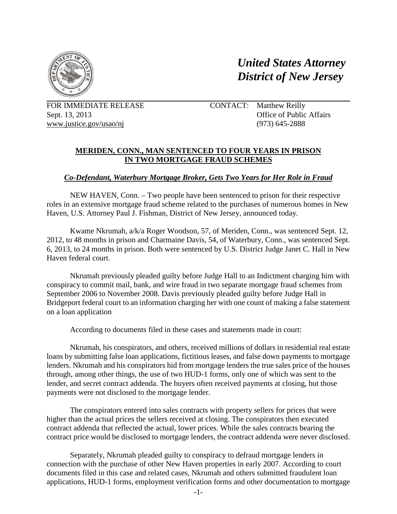

*United States Attorney District of New Jersey*

FOR IMMEDIATE RELEASE www.justice.gov/usao/nj

 $(973)$  645-2888 CONTACT: Matthew Reilly Sept. 13, 2013 Office of Public Affairs

## **MERIDEN, CONN., MAN SENTENCED TO FOUR YEARS IN PRISON IN TWO MORTGAGE FRAUD SCHEMES**

## *Co-Defendant, Waterbury Mortgage Broker, Gets Two Years for Her Role in Fraud*

NEW HAVEN, Conn. – Two people have been sentenced to prison for their respective roles in an extensive mortgage fraud scheme related to the purchases of numerous homes in New Haven, U.S. Attorney Paul J. Fishman, District of New Jersey, announced today.

Kwame Nkrumah, a/k/a Roger Woodson, 57, of Meriden, Conn., was sentenced Sept. 12, 2012, to 48 months in prison and Charmaine Davis, 54, of Waterbury, Conn., was sentenced Sept. 6, 2013, to 24 months in prison. Both were sentenced by U.S. District Judge Janet C. Hall in New Haven federal court.

 Nkrumah previously pleaded guilty before Judge Hall to an Indictment charging him with conspiracy to commit mail, bank, and wire fraud in two separate mortgage fraud schemes from September 2006 to November 2008. Davis previously pleaded guilty before Judge Hall in Bridgeport federal court to an information charging her with one count of making a false statement on a loan application

According to documents filed in these cases and statements made in court:

 loans by submitting false loan applications, fictitious leases, and false down payments to mortgage Nkrumah, his conspirators, and others, received millions of dollars in residential real estate lenders. Nkrumah and his conspirators hid from mortgage lenders the true sales price of the houses through, among other things, the use of two HUD-1 forms, only one of which was sent to the lender, and secret contract addenda. The buyers often received payments at closing, but those payments were not disclosed to the mortgage lender.

 The conspirators entered into sales contracts with property sellers for prices that were contract price would be disclosed to mortgage lenders, the contract addenda were never disclosed. higher than the actual prices the sellers received at closing. The conspirators then executed contract addenda that reflected the actual, lower prices. While the sales contracts bearing the

 connection with the purchase of other New Haven properties in early 2007. According to court Separately, Nkrumah pleaded guilty to conspiracy to defraud mortgage lenders in documents filed in this case and related cases, Nkrumah and others submitted fraudulent loan applications, HUD-1 forms, employment verification forms and other documentation to mortgage